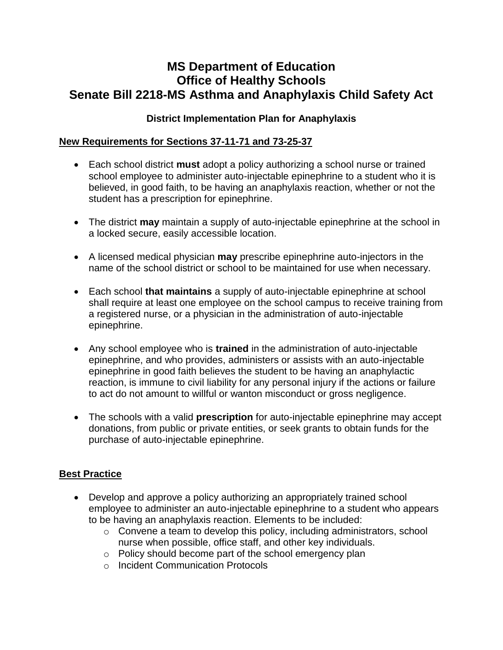# **MS Department of Education Office of Healthy Schools Senate Bill 2218-MS Asthma and Anaphylaxis Child Safety Act**

#### **District Implementation Plan for Anaphylaxis**

#### **New Requirements for Sections 37-11-71 and 73-25-37**

- Each school district **must** adopt a policy authorizing a school nurse or trained school employee to administer auto-injectable epinephrine to a student who it is believed, in good faith, to be having an anaphylaxis reaction, whether or not the student has a prescription for epinephrine.
- The district **may** maintain a supply of auto-injectable epinephrine at the school in a locked secure, easily accessible location.
- A licensed medical physician **may** prescribe epinephrine auto-injectors in the name of the school district or school to be maintained for use when necessary.
- Each school **that maintains** a supply of auto-injectable epinephrine at school shall require at least one employee on the school campus to receive training from a registered nurse, or a physician in the administration of auto-injectable epinephrine.
- Any school employee who is **trained** in the administration of auto-injectable epinephrine, and who provides, administers or assists with an auto-injectable epinephrine in good faith believes the student to be having an anaphylactic reaction, is immune to civil liability for any personal injury if the actions or failure to act do not amount to willful or wanton misconduct or gross negligence.
- The schools with a valid **prescription** for auto-injectable epinephrine may accept donations, from public or private entities, or seek grants to obtain funds for the purchase of auto-injectable epinephrine.

### **Best Practice**

- Develop and approve a policy authorizing an appropriately trained school employee to administer an auto-injectable epinephrine to a student who appears to be having an anaphylaxis reaction. Elements to be included:
	- o Convene a team to develop this policy, including administrators, school nurse when possible, office staff, and other key individuals.
	- o Policy should become part of the school emergency plan
	- o Incident Communication Protocols